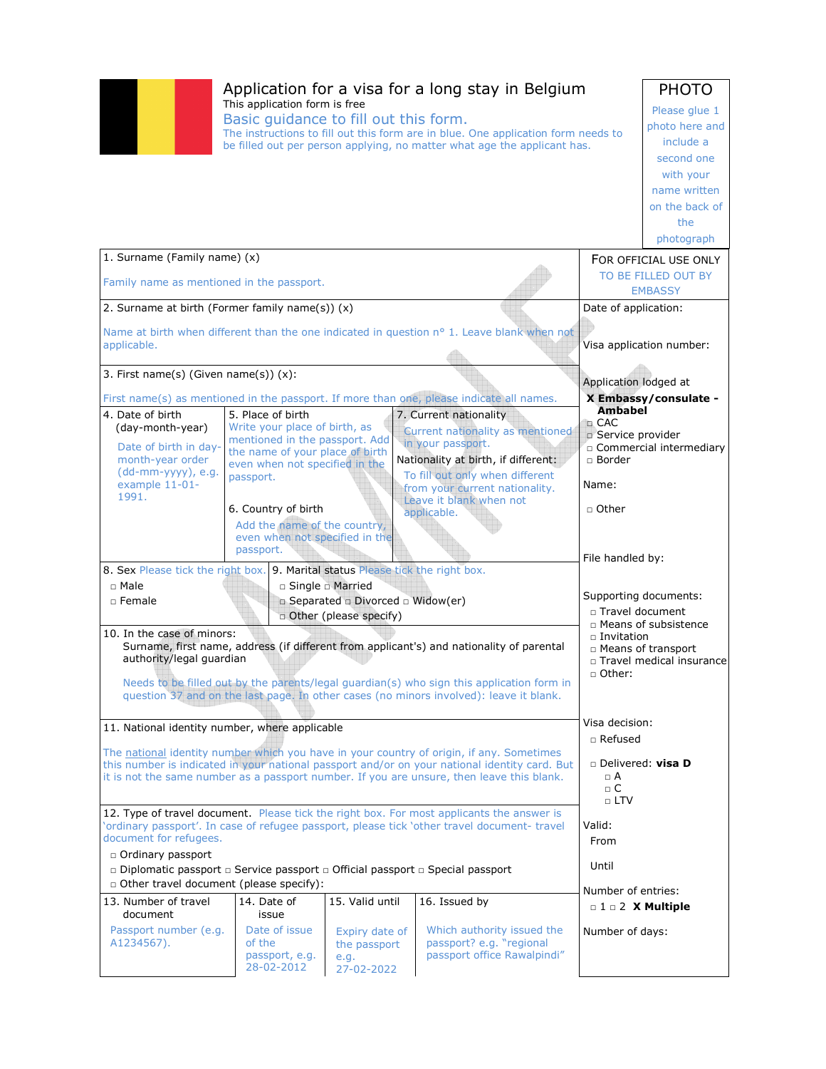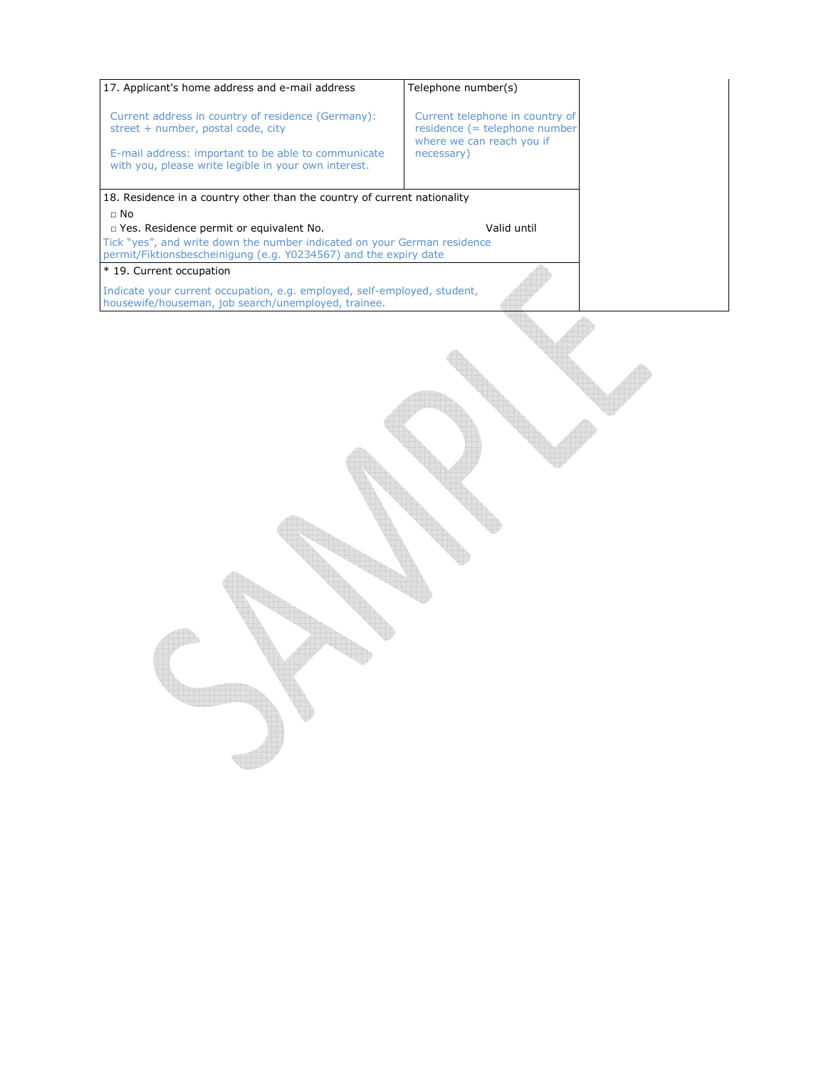| 17. Applicant's home address and e-mail address                                                                                                                                                         | Telephone number(s)                                                                                         |  |  |  |
|---------------------------------------------------------------------------------------------------------------------------------------------------------------------------------------------------------|-------------------------------------------------------------------------------------------------------------|--|--|--|
| Current address in country of residence (Germany):<br>street + number, postal code, city<br>E-mail address: important to be able to communicate<br>with you, please write legible in your own interest. | Current telephone in country of<br>residence (= telephone number<br>where we can reach you if<br>necessary) |  |  |  |
| 18. Residence in a country other than the country of current nationality                                                                                                                                |                                                                                                             |  |  |  |
| $\Box$ No                                                                                                                                                                                               |                                                                                                             |  |  |  |
| □ Yes. Residence permit or equivalent No.                                                                                                                                                               | Valid until                                                                                                 |  |  |  |
| Tick "yes", and write down the number indicated on your German residence                                                                                                                                |                                                                                                             |  |  |  |
| permit/Fiktionsbescheinigung (e.g. Y0234567) and the expiry date<br>* 19. Current occupation                                                                                                            |                                                                                                             |  |  |  |
|                                                                                                                                                                                                         |                                                                                                             |  |  |  |
| Indicate your current occupation, e.g. employed, self-employed, student,<br>housewife/houseman, job search/unemployed, trainee.                                                                         |                                                                                                             |  |  |  |
|                                                                                                                                                                                                         |                                                                                                             |  |  |  |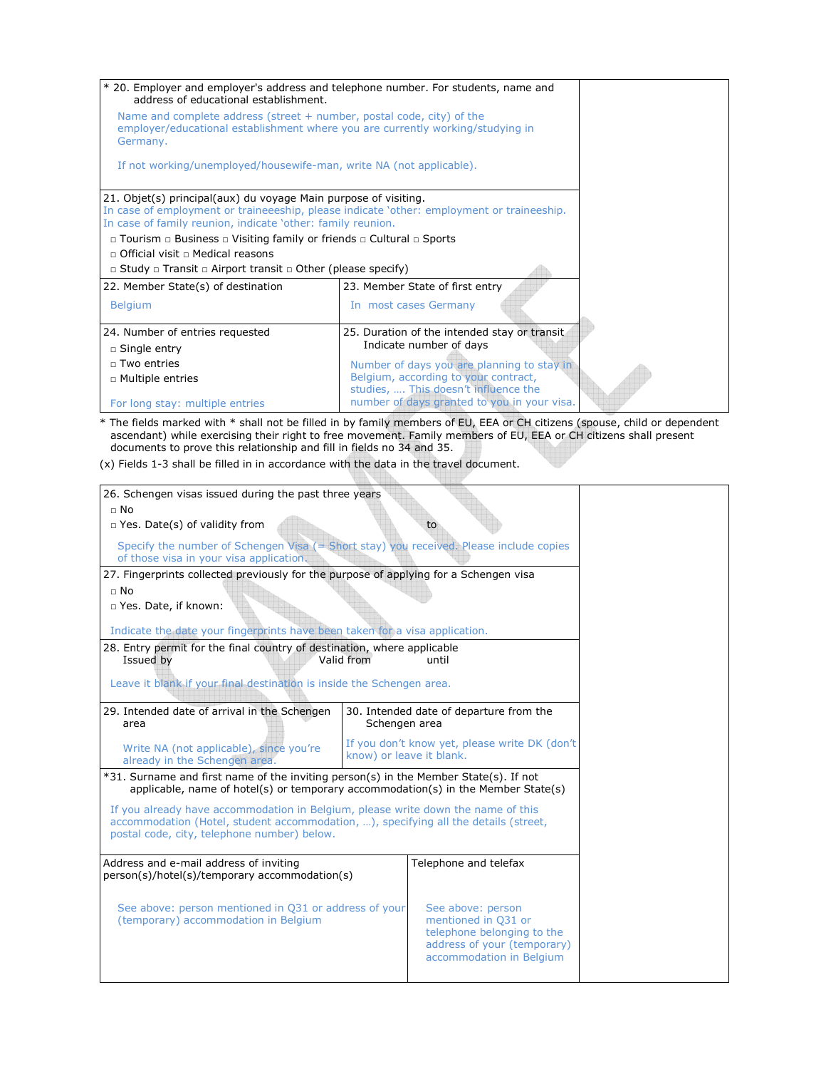| * 20. Employer and employer's address and telephone number. For students, name and<br>address of educational establishment.                                                                                                 |                                                                                     |  |
|-----------------------------------------------------------------------------------------------------------------------------------------------------------------------------------------------------------------------------|-------------------------------------------------------------------------------------|--|
| Name and complete address (street $+$ number, postal code, city) of the<br>employer/educational establishment where you are currently working/studying in<br>Germany.                                                       |                                                                                     |  |
| If not working/unemployed/housewife-man, write NA (not applicable).                                                                                                                                                         |                                                                                     |  |
| 21. Objet(s) principal(aux) du voyage Main purpose of visiting.<br>In case of employment or traineeeship, please indicate 'other: employment or traineeship.<br>In case of family reunion, indicate 'other: family reunion. |                                                                                     |  |
| $\Box$ Tourism $\Box$ Business $\Box$ Visiting family or friends $\Box$ Cultural $\Box$ Sports                                                                                                                              |                                                                                     |  |
| $\Box$ Official visit $\Box$ Medical reasons                                                                                                                                                                                |                                                                                     |  |
| $\Box$ Study $\Box$ Transit $\Box$ Airport transit $\Box$ Other (please specify)                                                                                                                                            |                                                                                     |  |
| 22. Member State(s) of destination                                                                                                                                                                                          | 23. Member State of first entry                                                     |  |
| <b>Belgium</b>                                                                                                                                                                                                              | In most cases Germany                                                               |  |
| 24. Number of entries requested                                                                                                                                                                                             | 25. Duration of the intended stay or transit                                        |  |
| $\Box$ Single entry                                                                                                                                                                                                         | Indicate number of days                                                             |  |
| $\Box$ Two entries                                                                                                                                                                                                          | Number of days you are planning to stay in                                          |  |
| □ Multiple entries                                                                                                                                                                                                          | Belgium, according to your contract,                                                |  |
| For long stay: multiple entries                                                                                                                                                                                             | studies,  This doesn't influence the<br>number of days granted to you in your visa. |  |

\* The fields marked with \* shall not be filled in by family members of EU, EEA or CH citizens (spouse, child or dependent ascendant) while exercising their right to free movement. Family members of EU, EEA or CH citizens shall present documents to prove this relationship and fill in fields no 34 and 35.

(x) Fields 1-3 shall be filled in in accordance with the data in the travel document.

| 26. Schengen visas issued during the past three years                                                                                     |                                                                           |                                                         |  |  |  |
|-------------------------------------------------------------------------------------------------------------------------------------------|---------------------------------------------------------------------------|---------------------------------------------------------|--|--|--|
| $\sqcap$ No                                                                                                                               |                                                                           |                                                         |  |  |  |
| $\Box$ Yes. Date(s) of validity from                                                                                                      | to                                                                        |                                                         |  |  |  |
| Specify the number of Schengen Visa $(=\text{Short stay})$ you received. Please include copies<br>of those visa in your visa application. |                                                                           |                                                         |  |  |  |
| 27. Fingerprints collected previously for the purpose of applying for a Schengen visa                                                     |                                                                           |                                                         |  |  |  |
| $\Box$ No                                                                                                                                 |                                                                           |                                                         |  |  |  |
| □ Yes. Date, if known:                                                                                                                    |                                                                           |                                                         |  |  |  |
|                                                                                                                                           |                                                                           |                                                         |  |  |  |
| Indicate the date your fingerprints have been taken for a visa application.                                                               |                                                                           |                                                         |  |  |  |
| 28. Entry permit for the final country of destination, where applicable<br>Valid from<br>until                                            |                                                                           |                                                         |  |  |  |
| Issued by                                                                                                                                 |                                                                           |                                                         |  |  |  |
|                                                                                                                                           | Leave it blank if your final destination is inside the Schengen area.     |                                                         |  |  |  |
|                                                                                                                                           |                                                                           |                                                         |  |  |  |
| 29. Intended date of arrival in the Schengen<br>area                                                                                      | 30. Intended date of departure from the<br>Schengen area                  |                                                         |  |  |  |
|                                                                                                                                           |                                                                           |                                                         |  |  |  |
| Write NA (not applicable), since you're<br>already in the Schengen area.                                                                  | If you don't know yet, please write DK (don't<br>know) or leave it blank. |                                                         |  |  |  |
| *31. Surname and first name of the inviting person(s) in the Member State(s). If not                                                      |                                                                           |                                                         |  |  |  |
| applicable, name of hotel(s) or temporary accommodation(s) in the Member State(s)                                                         |                                                                           |                                                         |  |  |  |
| If you already have accommodation in Belgium, please write down the name of this                                                          |                                                                           |                                                         |  |  |  |
| accommodation (Hotel, student accommodation, ), specifying all the details (street,                                                       |                                                                           |                                                         |  |  |  |
| postal code, city, telephone number) below.                                                                                               |                                                                           |                                                         |  |  |  |
|                                                                                                                                           |                                                                           |                                                         |  |  |  |
| Address and e-mail address of inviting<br>person(s)/hotel(s)/temporary accommodation(s)                                                   |                                                                           | Telephone and telefax                                   |  |  |  |
|                                                                                                                                           |                                                                           |                                                         |  |  |  |
| See above: person mentioned in Q31 or address of your<br>See above: person                                                                |                                                                           |                                                         |  |  |  |
| (temporary) accommodation in Belgium<br>mentioned in Q31 or                                                                               |                                                                           |                                                         |  |  |  |
|                                                                                                                                           |                                                                           | telephone belonging to the                              |  |  |  |
|                                                                                                                                           |                                                                           | address of your (temporary)<br>accommodation in Belgium |  |  |  |
|                                                                                                                                           |                                                                           |                                                         |  |  |  |
|                                                                                                                                           |                                                                           |                                                         |  |  |  |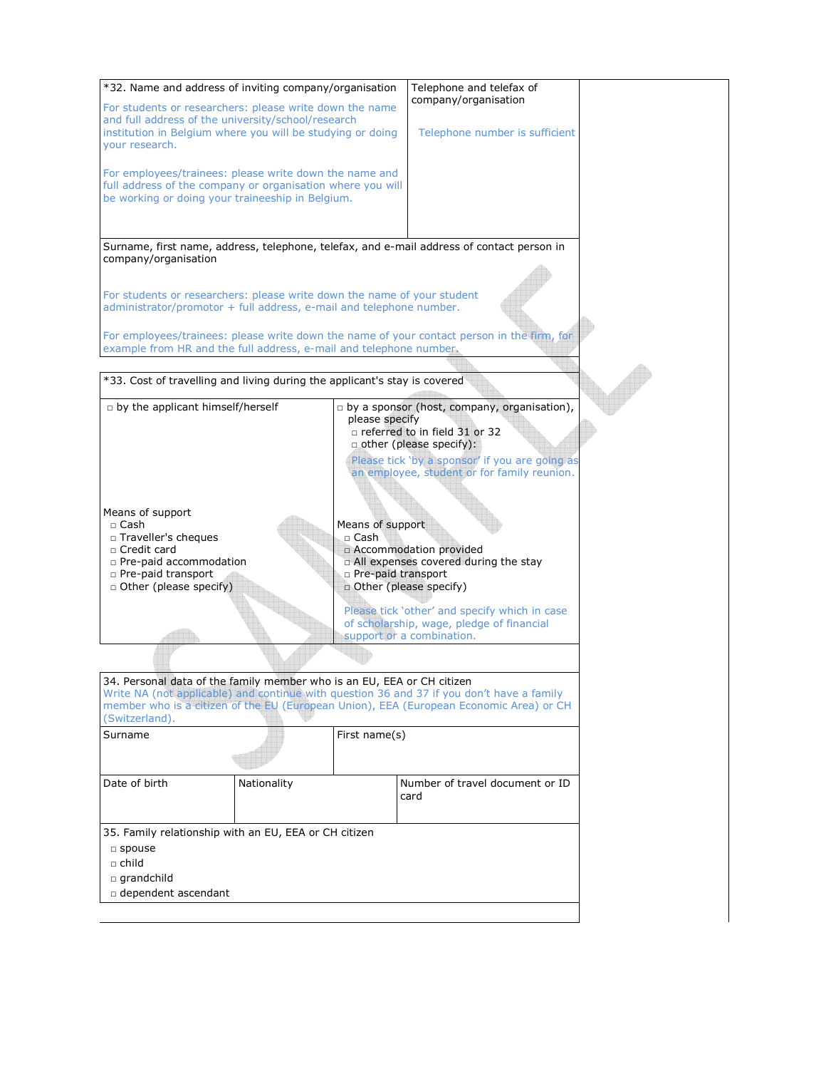| and full address of the university/school/research<br>your research.<br>be working or doing your traineeship in Belgium.                                                                   | *32. Name and address of inviting company/organisation<br>For students or researchers: please write down the name<br>institution in Belgium where you will be studying or doing<br>For employees/trainees: please write down the name and<br>full address of the company or organisation where you will | Telephone and telefax of<br>company/organisation<br>Telephone number is sufficient                                                                                                                                                                                                                                                                                                                                                                    |  |
|--------------------------------------------------------------------------------------------------------------------------------------------------------------------------------------------|---------------------------------------------------------------------------------------------------------------------------------------------------------------------------------------------------------------------------------------------------------------------------------------------------------|-------------------------------------------------------------------------------------------------------------------------------------------------------------------------------------------------------------------------------------------------------------------------------------------------------------------------------------------------------------------------------------------------------------------------------------------------------|--|
| company/organisation                                                                                                                                                                       | For students or researchers: please write down the name of your student<br>administrator/promotor + full address, e-mail and telephone number.<br>example from HR and the full address, e-mail and telephone number.                                                                                    | Surname, first name, address, telephone, telefax, and e-mail address of contact person in<br>For employees/trainees: please write down the name of your contact person in the firm, for                                                                                                                                                                                                                                                               |  |
|                                                                                                                                                                                            | *33. Cost of travelling and living during the applicant's stay is covered                                                                                                                                                                                                                               |                                                                                                                                                                                                                                                                                                                                                                                                                                                       |  |
| p by the applicant himself/herself<br>Means of support<br>□ Cash<br>□ Traveller's cheques<br>□ Credit card<br>n Pre-paid accommodation<br>n Pre-paid transport<br>□ Other (please specify) | please specify<br>Means of support<br>□ Cash<br>n Pre-paid transport                                                                                                                                                                                                                                    | p by a sponsor (host, company, organisation),<br>$\Box$ referred to in field 31 or 32<br>$\Box$ other (please specify):<br>Please tick 'by a sponsor' if you are going as<br>an employee, student or for family reunion.<br>a Accommodation provided<br>a All expenses covered during the stay<br>o Other (please specify)<br>Please tick 'other' and specify which in case<br>of scholarship, wage, pledge of financial<br>support or a combination. |  |
| (Switzerland).                                                                                                                                                                             | 34. Personal data of the family member who is an EU, EEA or CH citizen                                                                                                                                                                                                                                  | Write NA (not applicable) and continue with question 36 and 37 if you don't have a family<br>member who is a citizen of the EU (European Union), EEA (European Economic Area) or CH                                                                                                                                                                                                                                                                   |  |
| Surname                                                                                                                                                                                    | First name(s)                                                                                                                                                                                                                                                                                           |                                                                                                                                                                                                                                                                                                                                                                                                                                                       |  |
| Date of birth                                                                                                                                                                              | Nationality                                                                                                                                                                                                                                                                                             | Number of travel document or ID<br>card                                                                                                                                                                                                                                                                                                                                                                                                               |  |
| 35. Family relationship with an EU, EEA or CH citizen<br>$\square$ spouse<br>$\Box$ child<br>$\square$ grandchild<br>□ dependent ascendant                                                 |                                                                                                                                                                                                                                                                                                         |                                                                                                                                                                                                                                                                                                                                                                                                                                                       |  |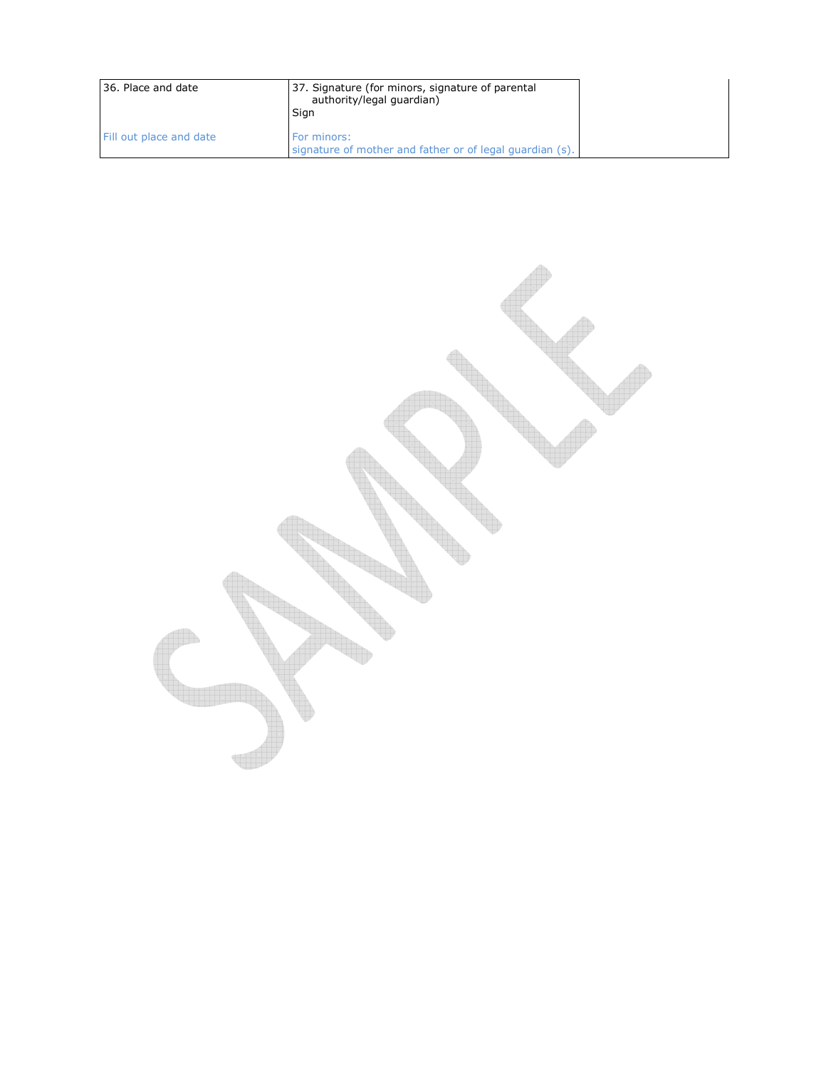| 36. Place and date      | 37. Signature (for minors, signature of parental<br>authority/legal guardian)<br>Sign |  |
|-------------------------|---------------------------------------------------------------------------------------|--|
| Fill out place and date | For minors:<br>signature of mother and father or of legal guardian (s).               |  |

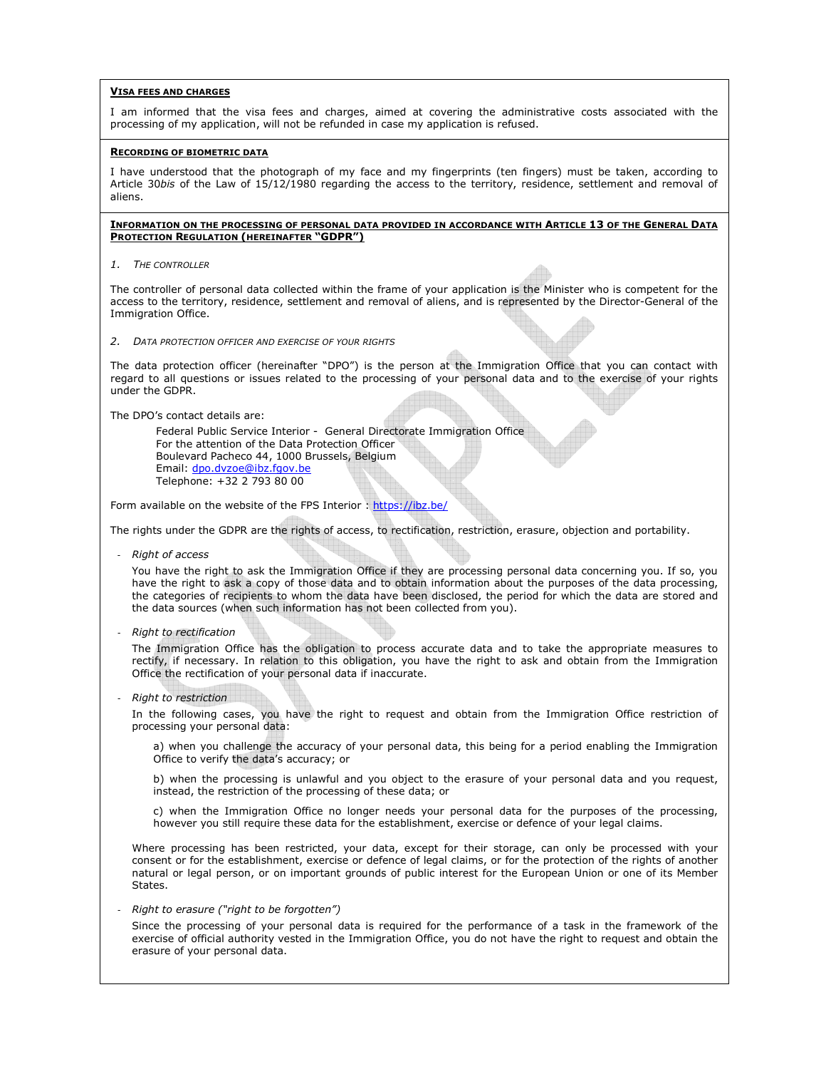# **VISA FEES AND CHARGES**

I am informed that the visa fees and charges, aimed at covering the administrative costs associated with the processing of my application, will not be refunded in case my application is refused.

# **RECORDING OF BIOMETRIC DATA**

I have understood that the photograph of my face and my fingerprints (ten fingers) must be taken, according to Article 30*bis* of the Law of 15/12/1980 regarding the access to the territory, residence, settlement and removal of aliens.

### **INFORMATION ON THE PROCESSING OF PERSONAL DATA PROVIDED IN ACCORDANCE WITH ARTICLE 13 OF THE GENERAL DATA PROTECTION REGULATION (HEREINAFTER "GDPR")**

*1. THE CONTROLLER*

The controller of personal data collected within the frame of your application is the Minister who is competent for the access to the territory, residence, settlement and removal of aliens, and is represented by the Director-General of the Immigration Office.

*2. DATA PROTECTION OFFICER AND EXERCISE OF YOUR RIGHTS*

The data protection officer (hereinafter "DPO") is the person at the Immigration Office that you can contact with regard to all questions or issues related to the processing of your personal data and to the exercise of your rights under the GDPR.

The DPO's contact details are:

Federal Public Service Interior - General Directorate Immigration Office For the attention of the Data Protection Officer Boulevard Pacheco 44, 1000 Brussels, Belgium Email: dpo.dvzoe@ibz.fgov.be Telephone: +32 2 793 80 00

Form available on the website of the FPS Interior : https://ibz.be/

The rights under the GDPR are the rights of access, to rectification, restriction, erasure, objection and portability.

*Right of access* 

You have the right to ask the Immigration Office if they are processing personal data concerning you. If so, you have the right to ask a copy of those data and to obtain information about the purposes of the data processing, the categories of recipients to whom the data have been disclosed, the period for which the data are stored and the data sources (when such information has not been collected from you).

*Right to rectification* 

The Immigration Office has the obligation to process accurate data and to take the appropriate measures to rectify, if necessary. In relation to this obligation, you have the right to ask and obtain from the Immigration Office the rectification of your personal data if inaccurate.

*Right to restriction* 

In the following cases, you have the right to request and obtain from the Immigration Office restriction of processing your personal data:

a) when you challenge the accuracy of your personal data, this being for a period enabling the Immigration Office to verify the data's accuracy; or

b) when the processing is unlawful and you object to the erasure of your personal data and you request, instead, the restriction of the processing of these data; or

c) when the Immigration Office no longer needs your personal data for the purposes of the processing, however you still require these data for the establishment, exercise or defence of your legal claims.

Where processing has been restricted, your data, except for their storage, can only be processed with your consent or for the establishment, exercise or defence of legal claims, or for the protection of the rights of another natural or legal person, or on important grounds of public interest for the European Union or one of its Member States.

*Right to erasure ("right to be forgotten")* 

Since the processing of your personal data is required for the performance of a task in the framework of the exercise of official authority vested in the Immigration Office, you do not have the right to request and obtain the erasure of your personal data.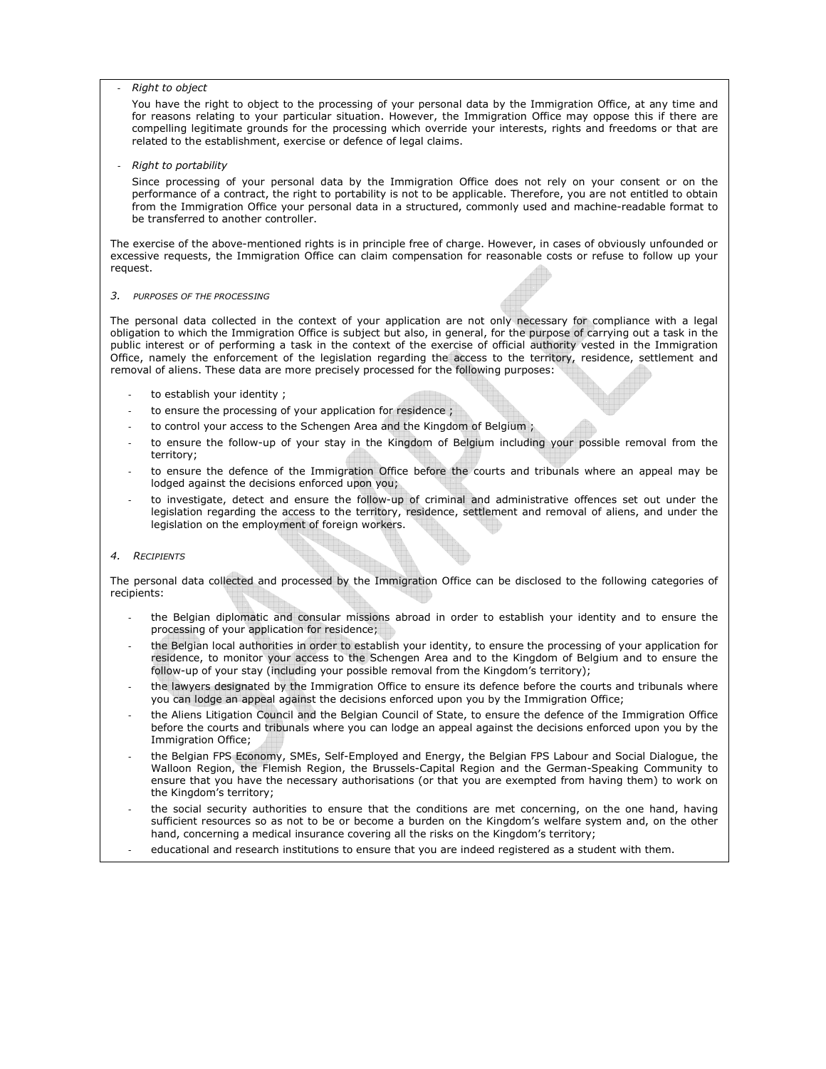# *Right to object*

You have the right to object to the processing of your personal data by the Immigration Office, at any time and for reasons relating to your particular situation. However, the Immigration Office may oppose this if there are compelling legitimate grounds for the processing which override your interests, rights and freedoms or that are related to the establishment, exercise or defence of legal claims.

*Right to portability* 

Since processing of your personal data by the Immigration Office does not rely on your consent or on the performance of a contract, the right to portability is not to be applicable. Therefore, you are not entitled to obtain from the Immigration Office your personal data in a structured, commonly used and machine-readable format to be transferred to another controller.

The exercise of the above-mentioned rights is in principle free of charge. However, in cases of obviously unfounded or excessive requests, the Immigration Office can claim compensation for reasonable costs or refuse to follow up your request.

#### *3. PURPOSES OF THE PROCESSING*

The personal data collected in the context of your application are not only necessary for compliance with a legal obligation to which the Immigration Office is subject but also, in general, for the purpose of carrying out a task in the public interest or of performing a task in the context of the exercise of official authority vested in the Immigration Office, namely the enforcement of the legislation regarding the access to the territory, residence, settlement and removal of aliens. These data are more precisely processed for the following purposes:

- to establish your identity ;
- to ensure the processing of your application for residence ;
- to control your access to the Schengen Area and the Kingdom of Belgium ;
- to ensure the follow-up of your stay in the Kingdom of Belgium including your possible removal from the territory;
- to ensure the defence of the Immigration Office before the courts and tribunals where an appeal may be lodged against the decisions enforced upon you;
- to investigate, detect and ensure the follow-up of criminal and administrative offences set out under the legislation regarding the access to the territory, residence, settlement and removal of aliens, and under the legislation on the employment of foreign workers.

# *4. RECIPIENTS*

The personal data collected and processed by the Immigration Office can be disclosed to the following categories of recipients:

- the Belgian diplomatic and consular missions abroad in order to establish your identity and to ensure the processing of your application for residence;
- the Belgian local authorities in order to establish your identity, to ensure the processing of your application for residence, to monitor your access to the Schengen Area and to the Kingdom of Belgium and to ensure the follow-up of your stay (including your possible removal from the Kingdom's territory);
- the lawyers designated by the Immigration Office to ensure its defence before the courts and tribunals where you can lodge an appeal against the decisions enforced upon you by the Immigration Office;
- the Aliens Litigation Council and the Belgian Council of State, to ensure the defence of the Immigration Office before the courts and tribunals where you can lodge an appeal against the decisions enforced upon you by the Immigration Office;
- the Belgian FPS Economy, SMEs, Self-Employed and Energy, the Belgian FPS Labour and Social Dialogue, the Walloon Region, the Flemish Region, the Brussels-Capital Region and the German-Speaking Community to ensure that you have the necessary authorisations (or that you are exempted from having them) to work on the Kingdom's territory;
- the social security authorities to ensure that the conditions are met concerning, on the one hand, having sufficient resources so as not to be or become a burden on the Kingdom's welfare system and, on the other hand, concerning a medical insurance covering all the risks on the Kingdom's territory;
- educational and research institutions to ensure that you are indeed registered as a student with them.